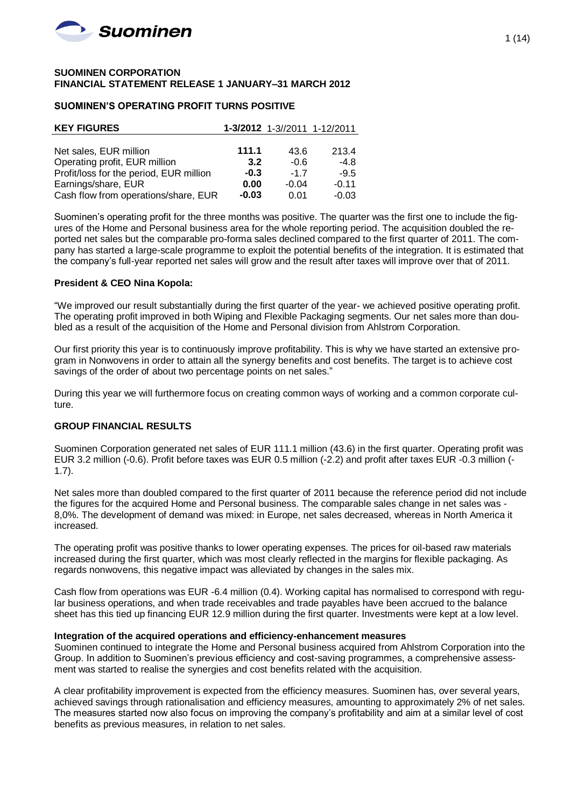

#### **SUOMINEN CORPORATION FINANCIAL STATEMENT RELEASE 1 JANUARY–31 MARCH 2012**

### **SUOMINEN'S OPERATING PROFIT TURNS POSITIVE**

| <b>KEY FIGURES</b>                      |         |         | 1-3/2012 1-3//2011 1-12/2011 |
|-----------------------------------------|---------|---------|------------------------------|
|                                         |         |         |                              |
| Net sales, EUR million                  | 111.1   | 43.6    | 213.4                        |
| Operating profit, EUR million           | 3.2     | $-0.6$  | $-4.8$                       |
| Profit/loss for the period, EUR million | $-0.3$  | $-17$   | $-9.5$                       |
| Earnings/share, EUR                     | 0.00    | $-0.04$ | $-0.11$                      |
| Cash flow from operations/share, EUR    | $-0.03$ | 0.01    | $-0.03$                      |

Suominen's operating profit for the three months was positive. The quarter was the first one to include the figures of the Home and Personal business area for the whole reporting period. The acquisition doubled the reported net sales but the comparable pro-forma sales declined compared to the first quarter of 2011. The company has started a large-scale programme to exploit the potential benefits of the integration. It is estimated that the company's full-year reported net sales will grow and the result after taxes will improve over that of 2011.

### **President & CEO Nina Kopola:**

"We improved our result substantially during the first quarter of the year- we achieved positive operating profit. The operating profit improved in both Wiping and Flexible Packaging segments. Our net sales more than doubled as a result of the acquisition of the Home and Personal division from Ahlstrom Corporation.

Our first priority this year is to continuously improve profitability. This is why we have started an extensive program in Nonwovens in order to attain all the synergy benefits and cost benefits. The target is to achieve cost savings of the order of about two percentage points on net sales."

During this year we will furthermore focus on creating common ways of working and a common corporate culture.

## **GROUP FINANCIAL RESULTS**

Suominen Corporation generated net sales of EUR 111.1 million (43.6) in the first quarter. Operating profit was EUR 3.2 million (-0.6). Profit before taxes was EUR 0.5 million (-2.2) and profit after taxes EUR -0.3 million (- 1.7).

Net sales more than doubled compared to the first quarter of 2011 because the reference period did not include the figures for the acquired Home and Personal business. The comparable sales change in net sales was - 8,0%. The development of demand was mixed: in Europe, net sales decreased, whereas in North America it increased.

The operating profit was positive thanks to lower operating expenses. The prices for oil-based raw materials increased during the first quarter, which was most clearly reflected in the margins for flexible packaging. As regards nonwovens, this negative impact was alleviated by changes in the sales mix.

Cash flow from operations was EUR -6.4 million (0.4). Working capital has normalised to correspond with regular business operations, and when trade receivables and trade payables have been accrued to the balance sheet has this tied up financing EUR 12.9 million during the first quarter. Investments were kept at a low level.

## **Integration of the acquired operations and efficiency-enhancement measures**

Suominen continued to integrate the Home and Personal business acquired from Ahlstrom Corporation into the Group. In addition to Suominen's previous efficiency and cost-saving programmes, a comprehensive assessment was started to realise the synergies and cost benefits related with the acquisition.

A clear profitability improvement is expected from the efficiency measures. Suominen has, over several years, achieved savings through rationalisation and efficiency measures, amounting to approximately 2% of net sales. The measures started now also focus on improving the company's profitability and aim at a similar level of cost benefits as previous measures, in relation to net sales.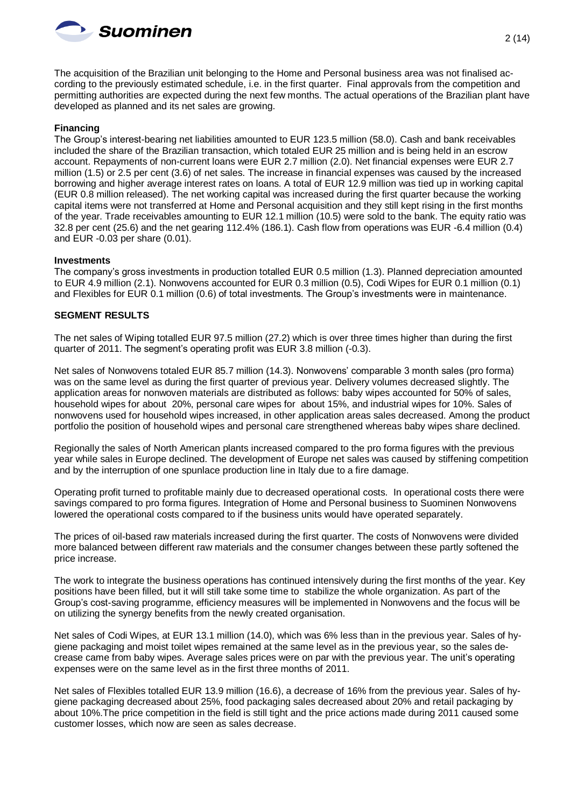

The acquisition of the Brazilian unit belonging to the Home and Personal business area was not finalised according to the previously estimated schedule, i.e. in the first quarter. Final approvals from the competition and permitting authorities are expected during the next few months. The actual operations of the Brazilian plant have developed as planned and its net sales are growing.

#### **Financing**

The Group's interest-bearing net liabilities amounted to EUR 123.5 million (58.0). Cash and bank receivables included the share of the Brazilian transaction, which totaled EUR 25 million and is being held in an escrow account. Repayments of non-current loans were EUR 2.7 million (2.0). Net financial expenses were EUR 2.7 million (1.5) or 2.5 per cent (3.6) of net sales. The increase in financial expenses was caused by the increased borrowing and higher average interest rates on loans. A total of EUR 12.9 million was tied up in working capital (EUR 0.8 million released). The net working capital was increased during the first quarter because the working capital items were not transferred at Home and Personal acquisition and they still kept rising in the first months of the year. Trade receivables amounting to EUR 12.1 million (10.5) were sold to the bank. The equity ratio was 32.8 per cent (25.6) and the net gearing 112.4% (186.1). Cash flow from operations was EUR -6.4 million (0.4) and EUR -0.03 per share (0.01).

#### **Investments**

The company's gross investments in production totalled EUR 0.5 million (1.3). Planned depreciation amounted to EUR 4.9 million (2.1). Nonwovens accounted for EUR 0.3 million (0.5), Codi Wipes for EUR 0.1 million (0.1) and Flexibles for EUR 0.1 million (0.6) of total investments. The Group's investments were in maintenance.

#### **SEGMENT RESULTS**

The net sales of Wiping totalled EUR 97.5 million (27.2) which is over three times higher than during the first quarter of 2011. The segment's operating profit was EUR 3.8 million (-0.3).

Net sales of Nonwovens totaled EUR 85.7 million (14.3). Nonwovens' comparable 3 month sales (pro forma) was on the same level as during the first quarter of previous year. Delivery volumes decreased slightly. The application areas for nonwoven materials are distributed as follows: baby wipes accounted for 50% of sales, household wipes for about 20%, personal care wipes for about 15%, and industrial wipes for 10%. Sales of nonwovens used for household wipes increased, in other application areas sales decreased. Among the product portfolio the position of household wipes and personal care strengthened whereas baby wipes share declined.

Regionally the sales of North American plants increased compared to the pro forma figures with the previous year while sales in Europe declined. The development of Europe net sales was caused by stiffening competition and by the interruption of one spunlace production line in Italy due to a fire damage.

Operating profit turned to profitable mainly due to decreased operational costs. In operational costs there were savings compared to pro forma figures. Integration of Home and Personal business to Suominen Nonwovens lowered the operational costs compared to if the business units would have operated separately.

The prices of oil-based raw materials increased during the first quarter. The costs of Nonwovens were divided more balanced between different raw materials and the consumer changes between these partly softened the price increase.

The work to integrate the business operations has continued intensively during the first months of the year. Key positions have been filled, but it will still take some time to stabilize the whole organization. As part of the Group's cost-saving programme, efficiency measures will be implemented in Nonwovens and the focus will be on utilizing the synergy benefits from the newly created organisation.

Net sales of Codi Wipes, at EUR 13.1 million (14.0), which was 6% less than in the previous year. Sales of hygiene packaging and moist toilet wipes remained at the same level as in the previous year, so the sales decrease came from baby wipes. Average sales prices were on par with the previous year. The unit's operating expenses were on the same level as in the first three months of 2011.

Net sales of Flexibles totalled EUR 13.9 million (16.6), a decrease of 16% from the previous year. Sales of hygiene packaging decreased about 25%, food packaging sales decreased about 20% and retail packaging by about 10%.The price competition in the field is still tight and the price actions made during 2011 caused some customer losses, which now are seen as sales decrease.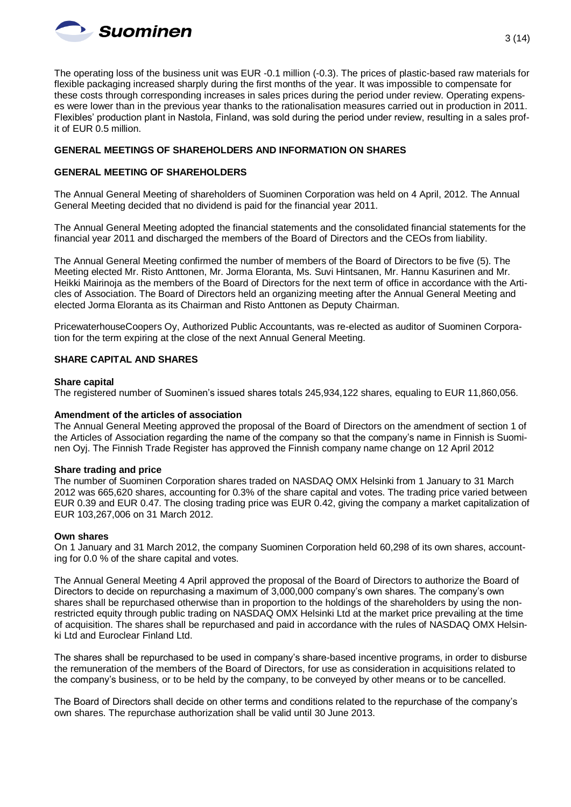

The operating loss of the business unit was EUR -0.1 million (-0.3). The prices of plastic-based raw materials for flexible packaging increased sharply during the first months of the year. It was impossible to compensate for these costs through corresponding increases in sales prices during the period under review. Operating expenses were lower than in the previous year thanks to the rationalisation measures carried out in production in 2011. Flexibles' production plant in Nastola, Finland, was sold during the period under review, resulting in a sales profit of EUR 0.5 million.

## **GENERAL MEETINGS OF SHAREHOLDERS AND INFORMATION ON SHARES**

## **GENERAL MEETING OF SHAREHOLDERS**

The Annual General Meeting of shareholders of Suominen Corporation was held on 4 April, 2012. The Annual General Meeting decided that no dividend is paid for the financial year 2011.

The Annual General Meeting adopted the financial statements and the consolidated financial statements for the financial year 2011 and discharged the members of the Board of Directors and the CEOs from liability.

The Annual General Meeting confirmed the number of members of the Board of Directors to be five (5). The Meeting elected Mr. Risto Anttonen, Mr. Jorma Eloranta, Ms. Suvi Hintsanen, Mr. Hannu Kasurinen and Mr. Heikki Mairinoja as the members of the Board of Directors for the next term of office in accordance with the Articles of Association. The Board of Directors held an organizing meeting after the Annual General Meeting and elected Jorma Eloranta as its Chairman and Risto Anttonen as Deputy Chairman.

PricewaterhouseCoopers Oy, Authorized Public Accountants, was re-elected as auditor of Suominen Corporation for the term expiring at the close of the next Annual General Meeting.

### **SHARE CAPITAL AND SHARES**

#### **Share capital**

The registered number of Suominen's issued shares totals 245,934,122 shares, equaling to EUR 11,860,056.

#### **Amendment of the articles of association**

The Annual General Meeting approved the proposal of the Board of Directors on the amendment of section 1 of the Articles of Association regarding the name of the company so that the company's name in Finnish is Suominen Oyj. The Finnish Trade Register has approved the Finnish company name change on 12 April 2012

#### **Share trading and price**

The number of Suominen Corporation shares traded on NASDAQ OMX Helsinki from 1 January to 31 March 2012 was 665,620 shares, accounting for 0.3% of the share capital and votes. The trading price varied between EUR 0.39 and EUR 0.47. The closing trading price was EUR 0.42, giving the company a market capitalization of EUR 103,267,006 on 31 March 2012.

#### **Own shares**

On 1 January and 31 March 2012, the company Suominen Corporation held 60,298 of its own shares, accounting for 0.0 % of the share capital and votes.

The Annual General Meeting 4 April approved the proposal of the Board of Directors to authorize the Board of Directors to decide on repurchasing a maximum of 3,000,000 company's own shares. The company's own shares shall be repurchased otherwise than in proportion to the holdings of the shareholders by using the nonrestricted equity through public trading on NASDAQ OMX Helsinki Ltd at the market price prevailing at the time of acquisition. The shares shall be repurchased and paid in accordance with the rules of NASDAQ OMX Helsinki Ltd and Euroclear Finland Ltd.

The shares shall be repurchased to be used in company's share-based incentive programs, in order to disburse the remuneration of the members of the Board of Directors, for use as consideration in acquisitions related to the company's business, or to be held by the company, to be conveyed by other means or to be cancelled.

The Board of Directors shall decide on other terms and conditions related to the repurchase of the company's own shares. The repurchase authorization shall be valid until 30 June 2013.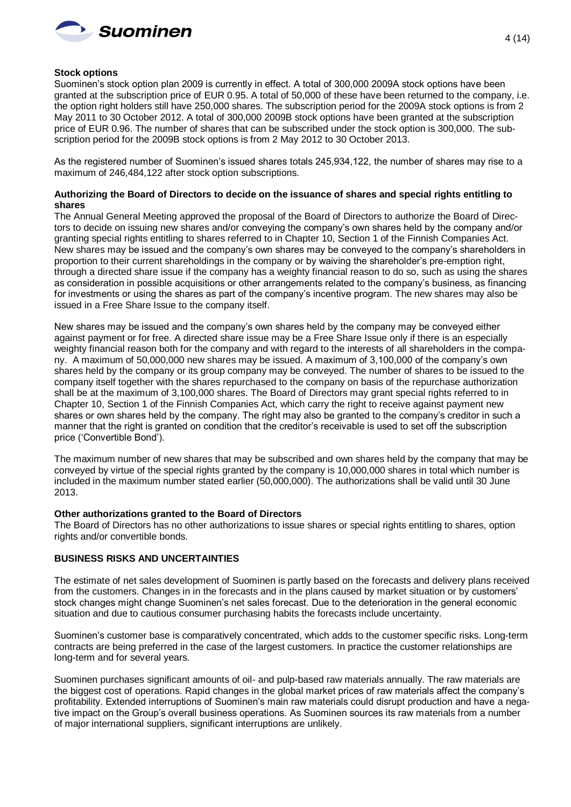

### **Stock options**

Suominen's stock option plan 2009 is currently in effect. A total of 300,000 2009A stock options have been granted at the subscription price of EUR 0.95. A total of 50,000 of these have been returned to the company, i.e. the option right holders still have 250,000 shares. The subscription period for the 2009A stock options is from 2 May 2011 to 30 October 2012. A total of 300,000 2009B stock options have been granted at the subscription price of EUR 0.96. The number of shares that can be subscribed under the stock option is 300,000. The subscription period for the 2009B stock options is from 2 May 2012 to 30 October 2013.

As the registered number of Suominen's issued shares totals 245,934,122, the number of shares may rise to a maximum of 246,484,122 after stock option subscriptions.

## **Authorizing the Board of Directors to decide on the issuance of shares and special rights entitling to shares**

The Annual General Meeting approved the proposal of the Board of Directors to authorize the Board of Directors to decide on issuing new shares and/or conveying the company's own shares held by the company and/or granting special rights entitling to shares referred to in Chapter 10, Section 1 of the Finnish Companies Act. New shares may be issued and the company's own shares may be conveyed to the company's shareholders in proportion to their current shareholdings in the company or by waiving the shareholder's pre-emption right, through a directed share issue if the company has a weighty financial reason to do so, such as using the shares as consideration in possible acquisitions or other arrangements related to the company's business, as financing for investments or using the shares as part of the company's incentive program. The new shares may also be issued in a Free Share Issue to the company itself.

New shares may be issued and the company's own shares held by the company may be conveyed either against payment or for free. A directed share issue may be a Free Share Issue only if there is an especially weighty financial reason both for the company and with regard to the interests of all shareholders in the company. A maximum of 50,000,000 new shares may be issued. A maximum of 3,100,000 of the company's own shares held by the company or its group company may be conveyed. The number of shares to be issued to the company itself together with the shares repurchased to the company on basis of the repurchase authorization shall be at the maximum of 3,100,000 shares. The Board of Directors may grant special rights referred to in Chapter 10, Section 1 of the Finnish Companies Act, which carry the right to receive against payment new shares or own shares held by the company. The right may also be granted to the company's creditor in such a manner that the right is granted on condition that the creditor's receivable is used to set off the subscription price ('Convertible Bond').

The maximum number of new shares that may be subscribed and own shares held by the company that may be conveyed by virtue of the special rights granted by the company is 10,000,000 shares in total which number is included in the maximum number stated earlier (50,000,000). The authorizations shall be valid until 30 June 2013.

#### **Other authorizations granted to the Board of Directors**

The Board of Directors has no other authorizations to issue shares or special rights entitling to shares, option rights and/or convertible bonds.

## **BUSINESS RISKS AND UNCERTAINTIES**

The estimate of net sales development of Suominen is partly based on the forecasts and delivery plans received from the customers. Changes in in the forecasts and in the plans caused by market situation or by customers' stock changes might change Suominen's net sales forecast. Due to the deterioration in the general economic situation and due to cautious consumer purchasing habits the forecasts include uncertainty.

Suominen's customer base is comparatively concentrated, which adds to the customer specific risks. Long-term contracts are being preferred in the case of the largest customers. In practice the customer relationships are long-term and for several years.

Suominen purchases significant amounts of oil- and pulp-based raw materials annually. The raw materials are the biggest cost of operations. Rapid changes in the global market prices of raw materials affect the company's profitability. Extended interruptions of Suominen's main raw materials could disrupt production and have a negative impact on the Group's overall business operations. As Suominen sources its raw materials from a number of major international suppliers, significant interruptions are unlikely.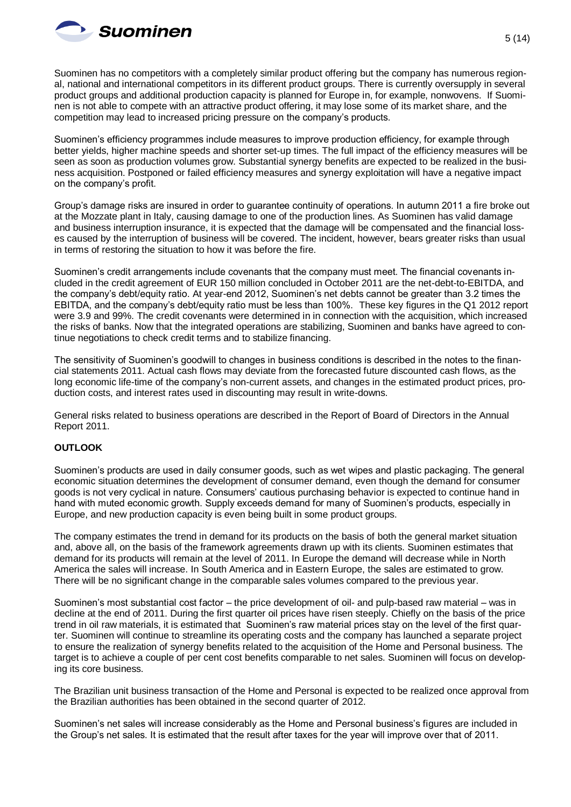

Suominen has no competitors with a completely similar product offering but the company has numerous regional, national and international competitors in its different product groups. There is currently oversupply in several product groups and additional production capacity is planned for Europe in, for example, nonwovens. If Suominen is not able to compete with an attractive product offering, it may lose some of its market share, and the competition may lead to increased pricing pressure on the company's products.

Suominen's efficiency programmes include measures to improve production efficiency, for example through better yields, higher machine speeds and shorter set-up times. The full impact of the efficiency measures will be seen as soon as production volumes grow. Substantial synergy benefits are expected to be realized in the business acquisition. Postponed or failed efficiency measures and synergy exploitation will have a negative impact on the company's profit.

Group's damage risks are insured in order to guarantee continuity of operations. In autumn 2011 a fire broke out at the Mozzate plant in Italy, causing damage to one of the production lines. As Suominen has valid damage and business interruption insurance, it is expected that the damage will be compensated and the financial losses caused by the interruption of business will be covered. The incident, however, bears greater risks than usual in terms of restoring the situation to how it was before the fire.

Suominen's credit arrangements include covenants that the company must meet. The financial covenants included in the credit agreement of EUR 150 million concluded in October 2011 are the net-debt-to-EBITDA, and the company's debt/equity ratio. At year-end 2012, Suominen's net debts cannot be greater than 3.2 times the EBITDA, and the company's debt/equity ratio must be less than 100%. These key figures in the Q1 2012 report were 3.9 and 99%. The credit covenants were determined in in connection with the acquisition, which increased the risks of banks. Now that the integrated operations are stabilizing, Suominen and banks have agreed to continue negotiations to check credit terms and to stabilize financing.

The sensitivity of Suominen's goodwill to changes in business conditions is described in the notes to the financial statements 2011. Actual cash flows may deviate from the forecasted future discounted cash flows, as the long economic life-time of the company's non-current assets, and changes in the estimated product prices, production costs, and interest rates used in discounting may result in write-downs.

General risks related to business operations are described in the Report of Board of Directors in the Annual Report 2011.

## **OUTLOOK**

Suominen's products are used in daily consumer goods, such as wet wipes and plastic packaging. The general economic situation determines the development of consumer demand, even though the demand for consumer goods is not very cyclical in nature. Consumers' cautious purchasing behavior is expected to continue hand in hand with muted economic growth. Supply exceeds demand for many of Suominen's products, especially in Europe, and new production capacity is even being built in some product groups.

The company estimates the trend in demand for its products on the basis of both the general market situation and, above all, on the basis of the framework agreements drawn up with its clients. Suominen estimates that demand for its products will remain at the level of 2011. In Europe the demand will decrease while in North America the sales will increase. In South America and in Eastern Europe, the sales are estimated to grow. There will be no significant change in the comparable sales volumes compared to the previous year.

Suominen's most substantial cost factor – the price development of oil- and pulp-based raw material – was in decline at the end of 2011. During the first quarter oil prices have risen steeply. Chiefly on the basis of the price trend in oil raw materials, it is estimated that Suominen's raw material prices stay on the level of the first quarter. Suominen will continue to streamline its operating costs and the company has launched a separate project to ensure the realization of synergy benefits related to the acquisition of the Home and Personal business. The target is to achieve a couple of per cent cost benefits comparable to net sales. Suominen will focus on developing its core business.

The Brazilian unit business transaction of the Home and Personal is expected to be realized once approval from the Brazilian authorities has been obtained in the second quarter of 2012.

Suominen's net sales will increase considerably as the Home and Personal business's figures are included in the Group's net sales. It is estimated that the result after taxes for the year will improve over that of 2011.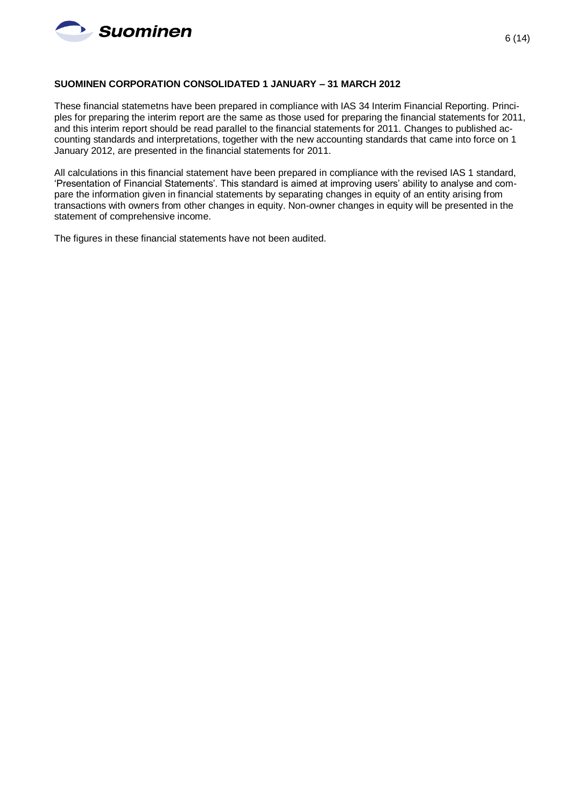

### **SUOMINEN CORPORATION CONSOLIDATED 1 JANUARY – 31 MARCH 2012**

These financial statemetns have been prepared in compliance with IAS 34 Interim Financial Reporting. Principles for preparing the interim report are the same as those used for preparing the financial statements for 2011, and this interim report should be read parallel to the financial statements for 2011. Changes to published accounting standards and interpretations, together with the new accounting standards that came into force on 1 January 2012, are presented in the financial statements for 2011.

All calculations in this financial statement have been prepared in compliance with the revised IAS 1 standard, 'Presentation of Financial Statements'. This standard is aimed at improving users' ability to analyse and compare the information given in financial statements by separating changes in equity of an entity arising from transactions with owners from other changes in equity. Non-owner changes in equity will be presented in the statement of comprehensive income.

The figures in these financial statements have not been audited.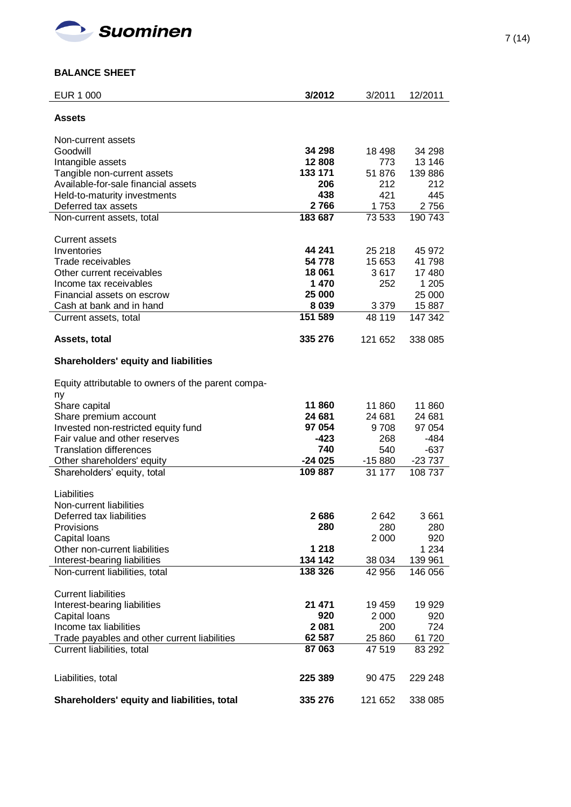

# **BALANCE SHEET**

| <b>EUR 1 000</b>                                         | 3/2012         | 3/2011      | 12/2011         |
|----------------------------------------------------------|----------------|-------------|-----------------|
| Assets                                                   |                |             |                 |
| Non-current assets                                       |                |             |                 |
| Goodwill                                                 | 34 298         | 18 498      | 34 298          |
| Intangible assets                                        | 12 808         | 773         | 13 146          |
| Tangible non-current assets                              | 133 171        | 51 876      | 139 886         |
| Available-for-sale financial assets                      | 206            | 212         | 212             |
| Held-to-maturity investments                             | 438            | 421         | 445             |
| Deferred tax assets                                      | 2766           | 1753        | 2756            |
| Non-current assets, total                                | 183 687        | 73 533      | 190 743         |
|                                                          |                |             |                 |
| <b>Current assets</b>                                    |                |             |                 |
| Inventories                                              | 44 241         | 25 218      | 45 972          |
| Trade receivables                                        | 54 778         | 15 653      | 41 798          |
| Other current receivables<br>Income tax receivables      | 18 061<br>1470 | 3617<br>252 | 17 480<br>1 205 |
| Financial assets on escrow                               | 25 000         |             | 25 000          |
| Cash at bank and in hand                                 | 8 0 3 9        | 3 3 7 9     | 15 887          |
| Current assets, total                                    | 151 589        | 48 119      | 147 342         |
|                                                          |                |             |                 |
| Assets, total                                            | 335 276        | 121 652     | 338 085         |
| <b>Shareholders' equity and liabilities</b>              |                |             |                 |
| Equity attributable to owners of the parent compa-<br>ny |                |             |                 |
| Share capital                                            | 11 860         | 11 860      | 11 860          |
| Share premium account                                    | 24 681         | 24 681      | 24 681          |
| Invested non-restricted equity fund                      | 97 054         | 9708        | 97 054          |
| Fair value and other reserves                            | $-423$         | 268         | $-484$          |
| <b>Translation differences</b>                           | 740            | 540         | $-637$          |
| Other shareholders' equity                               | $-24025$       | $-15880$    | $-23737$        |
| Shareholders' equity, total                              | 109887         | 31 177      | 108 737         |
|                                                          |                |             |                 |
| Liabilities<br>Non-current liabilities                   |                |             |                 |
| Deferred tax liabilities                                 | 2686           | 2642        | 3661            |
| Provisions                                               | 280            | 280         | 280             |
| Capital loans                                            |                | 2 0 0 0     | 920             |
| Other non-current liabilities                            | 1 2 1 8        |             | 1 2 3 4         |
| Interest-bearing liabilities                             | 134 142        | 38 0 34     | 139 961         |
| Non-current liabilities, total                           | 138 326        | 42 956      | 146 056         |
|                                                          |                |             |                 |
| <b>Current liabilities</b>                               |                |             |                 |
| Interest-bearing liabilities                             | 21 471         | 19 459      | 19 929          |
| Capital Ioans                                            | 920            | 2 0 0 0     | 920             |
| Income tax liabilities                                   | 2 0 8 1        | 200         | 724             |
| Trade payables and other current liabilities             | 62 587         | 25 860      | 61 720          |
| Current liabilities, total                               | 87 063         | 47 519      | 83 292          |
| Liabilities, total                                       | 225 389        | 90 475      | 229 248         |
| Shareholders' equity and liabilities, total              | 335 276        | 121 652     | 338 085         |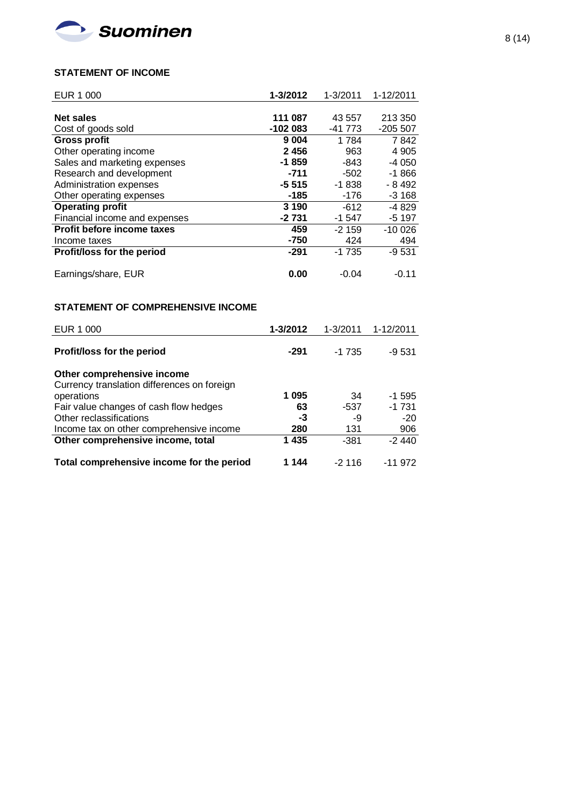

# **STATEMENT OF INCOME**

| EUR 1 000                         | 1-3/2012  | $1 - 3/2011$ | 1-12/2011 |
|-----------------------------------|-----------|--------------|-----------|
|                                   |           |              |           |
| <b>Net sales</b>                  | 111 087   | 43 557       | 213 350   |
| Cost of goods sold                | $-102083$ | -41 773      | $-205507$ |
| <b>Gross profit</b>               | 9 0 0 4   | 1784         | 7842      |
| Other operating income            | 2456      | 963          | 4 9 0 5   |
| Sales and marketing expenses      | $-1859$   | $-843$       | $-4050$   |
| Research and development          | $-711$    | $-502$       | $-1866$   |
| Administration expenses           | $-5515$   | $-1838$      | - 8 4 9 2 |
| Other operating expenses          | -185      | $-176$       | $-3168$   |
| <b>Operating profit</b>           | 3 1 9 0   | $-612$       | $-4829$   |
| Financial income and expenses     | -2 731    | $-1547$      | $-5197$   |
| Profit before income taxes        | 459       | $-2159$      | $-100026$ |
| Income taxes                      | $-750$    | 424          | 494       |
| <b>Profit/loss for the period</b> | -291      | $-1735$      | $-9531$   |
|                                   |           |              |           |
| Earnings/share, EUR               | 0.00      | $-0.04$      | -0.11     |

# **STATEMENT OF COMPREHENSIVE INCOME**

| EUR 1 000                                   | 1-3/2012 | 1-3/2011 | 1-12/2011 |
|---------------------------------------------|----------|----------|-----------|
| Profit/loss for the period                  | -291     | $-1735$  | -9 531    |
| Other comprehensive income                  |          |          |           |
| Currency translation differences on foreign |          |          |           |
| operations                                  | 1095     | 34       | $-1.595$  |
| Fair value changes of cash flow hedges      | 63       | -537     | $-1731$   |
| Other reclassifications                     | -3       | -9       | $-20$     |
| Income tax on other comprehensive income    | 280      | 131      | 906       |
| Other comprehensive income, total           | 1435     | -381     | $-2440$   |
| Total comprehensive income for the period   | 1 144    | $-2116$  | -11 972   |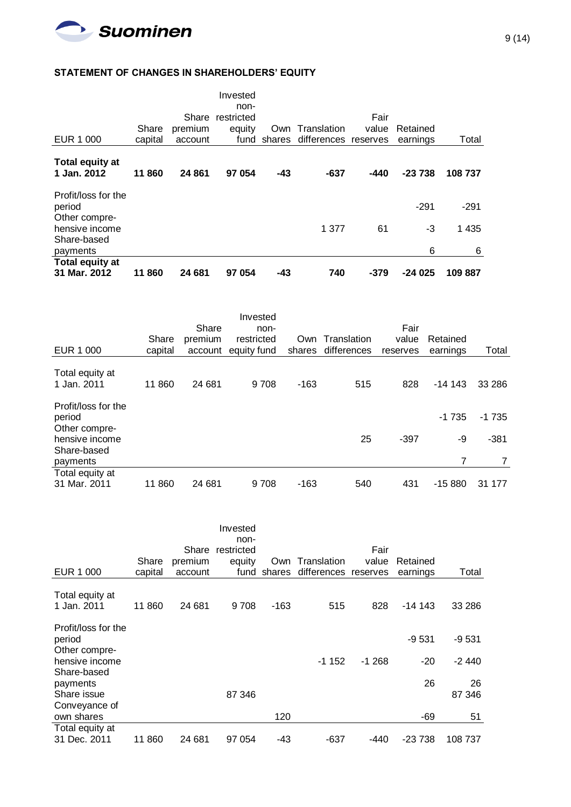

# **STATEMENT OF CHANGES IN SHAREHOLDERS' EQUITY**

| <b>Total equity at</b><br>31 Mar. 2012 | 860<br>11        | 24 681                      | 97 054                                           | -43 | 740                                            | $-379$        | $-24025$             | 109887  |
|----------------------------------------|------------------|-----------------------------|--------------------------------------------------|-----|------------------------------------------------|---------------|----------------------|---------|
| Share-based<br>payments                |                  |                             |                                                  |     |                                                |               | 6                    | 6       |
| Other compre-<br>hensive income        |                  |                             |                                                  |     | 1 377                                          | 61            | -3                   | 1 4 3 5 |
| Profit/loss for the<br>period          |                  |                             |                                                  |     |                                                |               | $-291$               | $-291$  |
| Total equity at<br>1 Jan. 2012         | 11860            | 24 861                      | 97 054                                           | -43 | -637                                           | -440          | $-23738$             | 108 737 |
| EUR 1 000                              | Share<br>capital | Share<br>premium<br>account | Invested<br>non-<br>restricted<br>equity<br>fund |     | Own Translation<br>shares differences reserves | Fair<br>value | Retained<br>earnings | Total   |

|                                                                                 | Share     | Share<br>premium | Invested<br>non-<br>restricted |        | Own Translation | Fair<br>value | Retained      |                   |
|---------------------------------------------------------------------------------|-----------|------------------|--------------------------------|--------|-----------------|---------------|---------------|-------------------|
| EUR 1 000                                                                       | capital   | account          | equity fund                    | shares | differences     | reserves      | earnings      | Total             |
| Total equity at<br>1 Jan. 2011                                                  | 11 860    | 24 681           | 9708                           | $-163$ | 515             | 828           | $-14143$      | 33 286            |
| Profit/loss for the<br>period<br>Other compre-<br>hensive income<br>Share-based |           |                  |                                |        | 25              | $-397$        | $-1735$<br>-9 | $-1735$<br>$-381$ |
| payments                                                                        |           |                  |                                |        |                 |               |               | 7                 |
| Total equity at<br>31 Mar. 2011                                                 | 860<br>11 | 24 681           | 9708                           | $-163$ | 540             | 431           | $-15880$      | 31<br>177         |

|                                                                  | Share   | Share<br>premium | Invested<br>non-<br>restricted<br>equity | Own    | Translation          | Fair<br>value | Retained         |                    |
|------------------------------------------------------------------|---------|------------------|------------------------------------------|--------|----------------------|---------------|------------------|--------------------|
| EUR 1 000                                                        | capital | account          | fund                                     | shares | differences reserves |               | earnings         | Total              |
| Total equity at<br>1 Jan. 2011                                   | 11 860  | 24 681           | 9708                                     | -163   | 515                  | 828           | $-14.143$        | 33 286             |
| Profit/loss for the<br>period<br>Other compre-<br>hensive income |         |                  |                                          |        | $-1152$              | $-1268$       | $-9531$<br>$-20$ | $-9531$<br>$-2440$ |
| Share-based<br>payments<br>Share issue<br>Conveyance of          |         |                  | 87 346                                   |        |                      |               | 26               | 26<br>87 346       |
| own shares                                                       |         |                  |                                          | 120    |                      |               | -69              | 51                 |
| Total equity at<br>31 Dec. 2011                                  | 11 860  | 24 681           | 97 054                                   | -43    | -637                 | -440          | $-23738$         | 108 737            |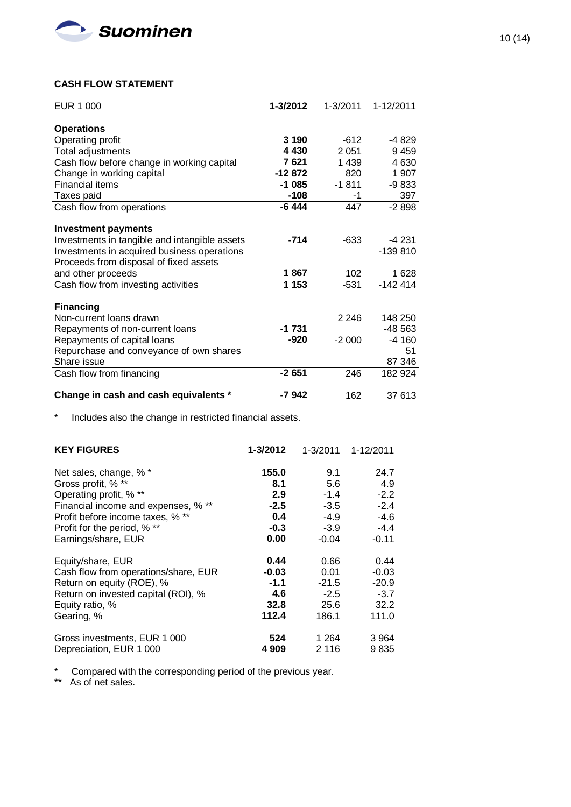

## **CASH FLOW STATEMENT**

| EUR 1 000                                     | 1-3/2012 | 1-3/2011 | 1-12/2011 |
|-----------------------------------------------|----------|----------|-----------|
|                                               |          |          |           |
| <b>Operations</b>                             |          |          |           |
| Operating profit                              | 3 1 9 0  | $-612$   | -4 829    |
| Total adjustments                             | 4 4 3 0  | 2 0 5 1  | 9459      |
| Cash flow before change in working capital    | 7 621    | 1439     | 4 630     |
| Change in working capital                     | $-12872$ | 820      | 1 907     |
| <b>Financial items</b>                        | $-1085$  | $-1811$  | $-9833$   |
| Taxes paid                                    | -108     | -1       | 397       |
| Cash flow from operations                     | $-6444$  | 447      | $-2898$   |
|                                               |          |          |           |
| <b>Investment payments</b>                    |          |          |           |
| Investments in tangible and intangible assets | $-714$   | $-633$   | $-4231$   |
| Investments in acquired business operations   |          |          | $-139810$ |
| Proceeds from disposal of fixed assets        |          |          |           |
| and other proceeds                            | 1867     | 102      | 1 628     |
| Cash flow from investing activities           | 1 1 5 3  | $-531$   | $-142414$ |
|                                               |          |          |           |
| <b>Financing</b>                              |          |          |           |
| Non-current loans drawn                       |          | 2 2 4 6  | 148 250   |
| Repayments of non-current loans               | $-1731$  |          | -48 563   |
| Repayments of capital loans                   | $-920$   | $-2000$  | $-4160$   |
| Repurchase and conveyance of own shares       |          |          | 51        |
| Share issue                                   |          |          | 87 346    |
| Cash flow from financing                      | $-2651$  | 246      | 182 924   |
|                                               |          |          |           |
| Change in cash and cash equivalents *         | -7942    | 162      | 37 613    |

# \* Includes also the change in restricted financial assets.

| <b>KEY FIGURES</b>                   | 1-3/2012 | $1 - 3/2011$ | 1-12/2011 |
|--------------------------------------|----------|--------------|-----------|
|                                      |          |              |           |
| Net sales, change, % *               | 155.0    | 9.1          | 24.7      |
| Gross profit, % **                   | 8.1      | 5.6          | 4.9       |
| Operating profit, % **               | 2.9      | $-1.4$       | $-2.2$    |
| Financial income and expenses, % **  | $-2.5$   | $-3.5$       | $-2.4$    |
| Profit before income taxes, % **     | 0.4      | $-4.9$       | $-4.6$    |
| Profit for the period, % **          | $-0.3$   | $-3.9$       | $-4.4$    |
| Earnings/share, EUR                  | 0.00     | $-0.04$      | $-0.11$   |
|                                      |          |              |           |
| Equity/share, EUR                    | 0.44     | 0.66         | 0.44      |
| Cash flow from operations/share, EUR | $-0.03$  | 0.01         | $-0.03$   |
| Return on equity (ROE), %            | $-1.1$   | $-21.5$      | $-20.9$   |
| Return on invested capital (ROI), %  | 4.6      | $-2.5$       | $-3.7$    |
| Equity ratio, %                      | 32.8     | 25.6         | 32.2      |
| Gearing, %                           | 112.4    | 186.1        | 111.0     |
| Gross investments, EUR 1 000         | 524      | 1 2 6 4      | 3 9 64    |
| Depreciation, EUR 1 000              | 4 9 0 9  | 2 1 1 6      | 9835      |

\* Compared with the corresponding period of the previous year.

\*\* As of net sales.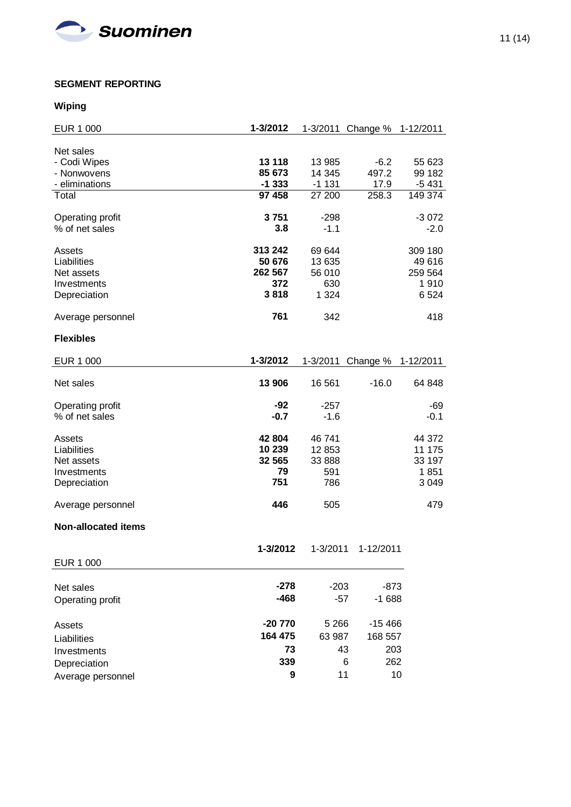

# **SEGMENT REPORTING**

# **Wiping**

| <b>EUR 1 000</b>           | 1-3/2012 |          | 1-3/2011 Change % | 1-12/2011 |
|----------------------------|----------|----------|-------------------|-----------|
|                            |          |          |                   |           |
| Net sales<br>- Codi Wipes  | 13 118   | 13 985   | $-6.2$            | 55 623    |
| - Nonwovens                | 85 673   | 14 345   | 497.2             | 99 182    |
| - eliminations             | $-1333$  | $-1131$  | 17.9              | $-5431$   |
| Total                      | 97 458   | 27 200   | 258.3             | 149 374   |
|                            |          |          |                   |           |
| Operating profit           | 3751     | $-298$   |                   | $-3072$   |
| % of net sales             | 3.8      | $-1.1$   |                   | $-2.0$    |
| Assets                     | 313 242  | 69 644   |                   | 309 180   |
| Liabilities                | 50 676   | 13 635   |                   | 49 616    |
| Net assets                 | 262 567  | 56 010   |                   | 259 564   |
| Investments                | 372      | 630      |                   | 1910      |
| Depreciation               | 3818     | 1 3 2 4  |                   | 6 5 24    |
|                            |          |          |                   |           |
| Average personnel          | 761      | 342      |                   | 418       |
| <b>Flexibles</b>           |          |          |                   |           |
| <b>EUR 1 000</b>           | 1-3/2012 | 1-3/2011 | Change %          | 1-12/2011 |
|                            |          |          |                   |           |
| Net sales                  | 13 906   | 16 561   | $-16.0$           | 64 848    |
| Operating profit           | -92      | $-257$   |                   | -69       |
| % of net sales             | $-0.7$   | $-1.6$   |                   | $-0.1$    |
| Assets                     | 42 804   | 46 741   |                   | 44 372    |
| Liabilities                | 10 239   | 12853    |                   | 11 175    |
| Net assets                 | 32 565   | 33 888   |                   | 33 197    |
| Investments                | 79       | 591      |                   | 1851      |
| Depreciation               | 751      | 786      |                   | 3 0 4 9   |
|                            |          |          |                   |           |
| Average personnel          | 446      | 505      |                   | 479       |
| <b>Non-allocated items</b> |          |          |                   |           |
|                            | 1-3/2012 | 1-3/2011 | 1-12/2011         |           |
| <b>EUR 1 000</b>           |          |          |                   |           |
|                            |          |          |                   |           |
| Net sales                  | $-278$   | $-203$   | $-873$            |           |
| Operating profit           | $-468$   | $-57$    | $-1688$           |           |
|                            |          |          |                   |           |
| Assets                     | $-20770$ | 5 2 6 6  | $-15466$          |           |
| Liabilities                | 164 475  | 63 987   | 168 557           |           |
| Investments                | 73       |          | 43<br>203         |           |
| Depreciation               | 339      |          | 6<br>262          |           |
| Average personnel          | 9        |          | 11                | 10        |
|                            |          |          |                   |           |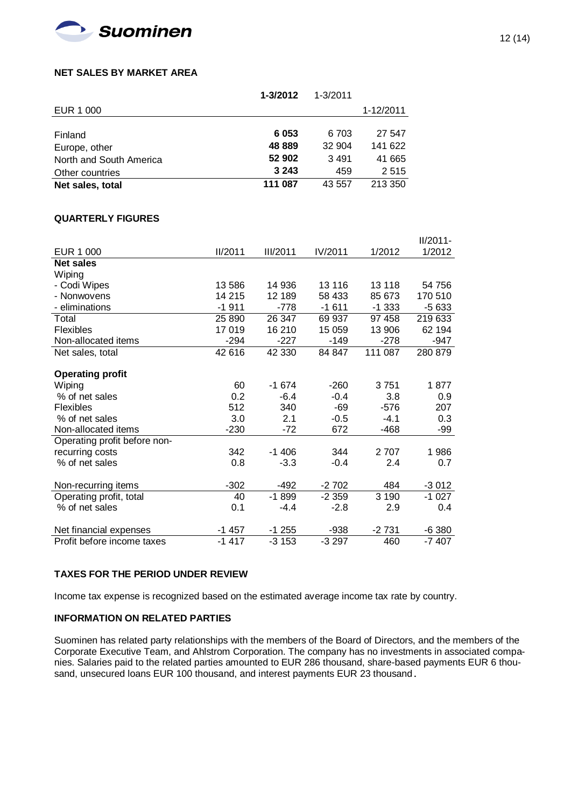

## **NET SALES BY MARKET AREA**

|                         | $1 - 3/2012$ | $1 - 3/2011$ |           |
|-------------------------|--------------|--------------|-----------|
| EUR 1 000               |              |              | 1-12/2011 |
|                         |              |              |           |
| Finland                 | 6 0 5 3      | 6 703        | 27 547    |
| Europe, other           | 48 889       | 32 904       | 141 622   |
| North and South America | 52 902       | 3491         | 41 665    |
| Other countries         | 3 2 4 3      | 459          | 2515      |
| Net sales, total        | 111 087      | 43 557       | 213 350   |

### **QUARTERLY FIGURES**

|                              |                |                 |         |         | $II/2011 -$ |
|------------------------------|----------------|-----------------|---------|---------|-------------|
| <b>EUR 1 000</b>             | <b>II/2011</b> | <b>III/2011</b> | IV/2011 | 1/2012  | 1/2012      |
| <b>Net sales</b>             |                |                 |         |         |             |
| Wiping                       |                |                 |         |         |             |
| - Codi Wipes                 | 13 586         | 14 936          | 13 116  | 13 118  | 54 756      |
| - Nonwovens                  | 14 215         | 12 189          | 58 433  | 85 673  | 170 510     |
| - eliminations               | $-1911$        | $-778$          | $-1611$ | $-1333$ | $-5633$     |
| Total                        | 25 890         | 26 347          | 69 937  | 97 458  | 219 633     |
| Flexibles                    | 17 019         | 16 210          | 15 0 59 | 13 906  | 62 194      |
| Non-allocated items          | $-294$         | $-227$          | $-149$  | $-278$  | $-947$      |
| Net sales, total             | 42 616         | 42 330          | 84 847  | 111 087 | 280 879     |
|                              |                |                 |         |         |             |
| <b>Operating profit</b>      |                |                 |         |         |             |
| Wiping                       | 60             | $-1674$         | $-260$  | 3751    | 1877        |
| % of net sales               | 0.2            | $-6.4$          | $-0.4$  | 3.8     | 0.9         |
| Flexibles                    | 512            | 340             | $-69$   | $-576$  | 207         |
| % of net sales               | 3.0            | 2.1             | $-0.5$  | $-4.1$  | 0.3         |
| Non-allocated items          | $-230$         | $-72$           | 672     | -468    | -99         |
| Operating profit before non- |                |                 |         |         |             |
| recurring costs              | 342            | $-1406$         | 344     | 2707    | 1986        |
| % of net sales               | 0.8            | $-3.3$          | $-0.4$  | 2.4     | 0.7         |
|                              |                |                 |         |         |             |
| Non-recurring items          | $-302$         | $-492$          | $-2702$ | 484     | $-3012$     |
| Operating profit, total      | 40             | $-1899$         | $-2359$ | 3190    | $-1027$     |
| % of net sales               | 0.1            | $-4.4$          | $-2.8$  | 2.9     | 0.4         |
|                              |                |                 |         |         |             |
| Net financial expenses       | $-1457$        | $-1255$         | -938    | $-2731$ | $-6380$     |
| Profit before income taxes   | $-1417$        | $-3153$         | $-3297$ | 460     | $-7407$     |

## **TAXES FOR THE PERIOD UNDER REVIEW**

Income tax expense is recognized based on the estimated average income tax rate by country.

## **INFORMATION ON RELATED PARTIES**

Suominen has related party relationships with the members of the Board of Directors, and the members of the Corporate Executive Team, and Ahlstrom Corporation. The company has no investments in associated companies. Salaries paid to the related parties amounted to EUR 286 thousand, share-based payments EUR 6 thousand, unsecured loans EUR 100 thousand, and interest payments EUR 23 thousand.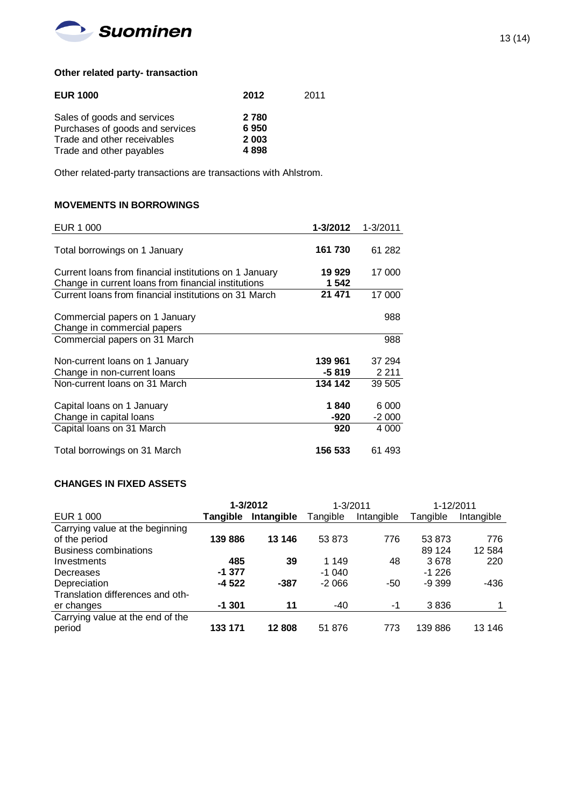

# **Other related party- transaction**

| <b>EUR 1000</b>                 | 2012    | 2011 |
|---------------------------------|---------|------|
| Sales of goods and services     | 2 7 8 0 |      |
| Purchases of goods and services | 6950    |      |
| Trade and other receivables     | 2003    |      |
| Trade and other payables        | 4898    |      |

Other related-party transactions are transactions with Ahlstrom.

# **MOVEMENTS IN BORROWINGS**

| EUR 1 000                                              | 1-3/2012 | 1-3/2011 |
|--------------------------------------------------------|----------|----------|
|                                                        |          |          |
| Total borrowings on 1 January                          | 161 730  | 61 282   |
|                                                        |          |          |
| Current loans from financial institutions on 1 January | 19 929   | 17 000   |
| Change in current loans from financial institutions    | 1 542    |          |
| Current loans from financial institutions on 31 March  | 21 471   | 17 000   |
|                                                        |          |          |
| Commercial papers on 1 January                         |          | 988      |
| Change in commercial papers                            |          |          |
| Commercial papers on 31 March                          |          | 988      |
|                                                        |          |          |
| Non-current loans on 1 January                         | 139 961  | 37 294   |
| Change in non-current loans                            | -5 819   | 2 2 1 1  |
| Non-current loans on 31 March                          | 134 142  | 39 505   |
|                                                        |          |          |
| Capital loans on 1 January                             | 1840     | 6 000    |
| Change in capital loans                                | -920     | $-2000$  |
| Capital loans on 31 March                              | 920      | 4 000    |
|                                                        |          |          |
| Total borrowings on 31 March                           | 156 533  | 61 493   |

# **CHANGES IN FIXED ASSETS**

|                                  |          | 1-3/2012   | 1-3/2011 |            | 1-12/2011 |            |
|----------------------------------|----------|------------|----------|------------|-----------|------------|
| EUR 1 000                        | Tangible | Intangible | Tangible | Intangible | Tangible  | Intangible |
| Carrying value at the beginning  |          |            |          |            |           |            |
| of the period                    | 139886   | 13 146     | 53 873   | 776        | 53 873    | 776        |
| <b>Business combinations</b>     |          |            |          |            | 89 1 24   | 12 5 84    |
| Investments                      | 485      | 39         | 1 1 4 9  | 48         | 3678      | 220        |
| Decreases                        | $-1.377$ |            | $-1040$  |            | $-1226$   |            |
| Depreciation                     | $-4522$  | -387       | $-2066$  | -50        | $-9.399$  | -436       |
| Translation differences and oth- |          |            |          |            |           |            |
| er changes                       | $-1.301$ | 11         | -40      | -1         | 3836      |            |
| Carrying value at the end of the |          |            |          |            |           |            |
| period                           | 133 171  | 12808      | 51 876   | 773        | 139886    | 13 146     |